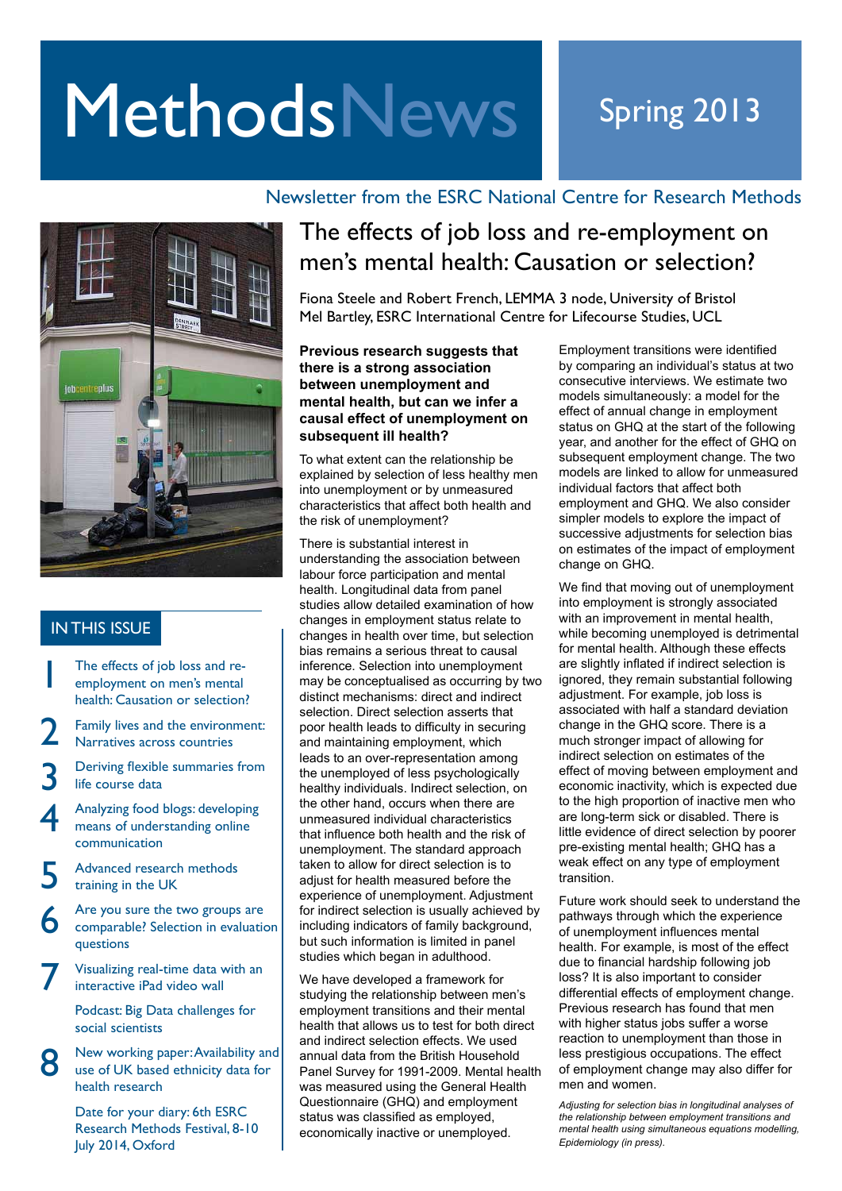# MethodsNews Spring 2013

## Newsletter from the ESRC National Centre for Research Methods



### IN THIS ISSUE

- 1 The effects of job loss and reemployment on men's mental health: Causation or selection?
- 2 Family lives and the environment: Narratives across countries
- 3 Deriving flexible summaries from life course data
- 4 Analyzing food blogs: developing means of understanding online communication
- 5 Advanced research methods training in the UK
- 6 Are you sure the two groups are comparable? Selection in evaluation questions
- 7 Visualizing real-time data with an interactive iPad video wall

Podcast: Big Data challenges for social scientists

New working paper: Availability and use of UK based ethnicity data for health research

8

Date for your diary: 6th ESRC Research Methods Festival, 8-10 July 2014, Oxford

## The effects of job loss and re-employment on men's mental health: Causation or selection?

Fiona Steele and Robert French, LEMMA 3 node, University of Bristol Mel Bartley, ESRC International Centre for Lifecourse Studies, UCL

#### **Previous research suggests that there is a strong association between unemployment and mental health, but can we infer a causal effect of unemployment on subsequent ill health?**

To what extent can the relationship be explained by selection of less healthy men into unemployment or by unmeasured characteristics that affect both health and the risk of unemployment?

There is substantial interest in understanding the association between labour force participation and mental health. Longitudinal data from panel studies allow detailed examination of how changes in employment status relate to changes in health over time, but selection bias remains a serious threat to causal inference. Selection into unemployment may be conceptualised as occurring by two distinct mechanisms: direct and indirect selection. Direct selection asserts that poor health leads to difficulty in securing and maintaining employment, which leads to an over-representation among the unemployed of less psychologically healthy individuals. Indirect selection, on the other hand, occurs when there are unmeasured individual characteristics that influence both health and the risk of unemployment. The standard approach taken to allow for direct selection is to adjust for health measured before the experience of unemployment. Adjustment for indirect selection is usually achieved by including indicators of family background. but such information is limited in panel studies which began in adulthood.

We have developed a framework for studying the relationship between men's employment transitions and their mental health that allows us to test for both direct and indirect selection effects. We used annual data from the British Household Panel Survey for 1991-2009. Mental health was measured using the General Health Questionnaire (GHQ) and employment status was classified as employed, economically inactive or unemployed.

Employment transitions were identified by comparing an individual's status at two consecutive interviews. We estimate two models simultaneously: a model for the effect of annual change in employment status on GHQ at the start of the following year, and another for the effect of GHQ on subsequent employment change. The two models are linked to allow for unmeasured individual factors that affect both employment and GHQ. We also consider simpler models to explore the impact of successive adjustments for selection bias on estimates of the impact of employment change on GHQ.

We find that moving out of unemployment into employment is strongly associated with an improvement in mental health, while becoming unemployed is detrimental for mental health. Although these effects are slightly inflated if indirect selection is ignored, they remain substantial following adjustment. For example, job loss is associated with half a standard deviation change in the GHQ score. There is a much stronger impact of allowing for indirect selection on estimates of the effect of moving between employment and economic inactivity, which is expected due to the high proportion of inactive men who are long-term sick or disabled. There is little evidence of direct selection by poorer pre-existing mental health; GHQ has a weak effect on any type of employment transition.

Future work should seek to understand the pathways through which the experience of unemployment influences mental health. For example, is most of the effect due to financial hardship following job loss? It is also important to consider differential effects of employment change. Previous research has found that men with higher status jobs suffer a worse reaction to unemployment than those in less prestigious occupations. The effect of employment change may also differ for men and women.

*Adjusting for selection bias in longitudinal analyses of the relationship between employment transitions and mental health using simultaneous equations modelling, Epidemiology (in press).*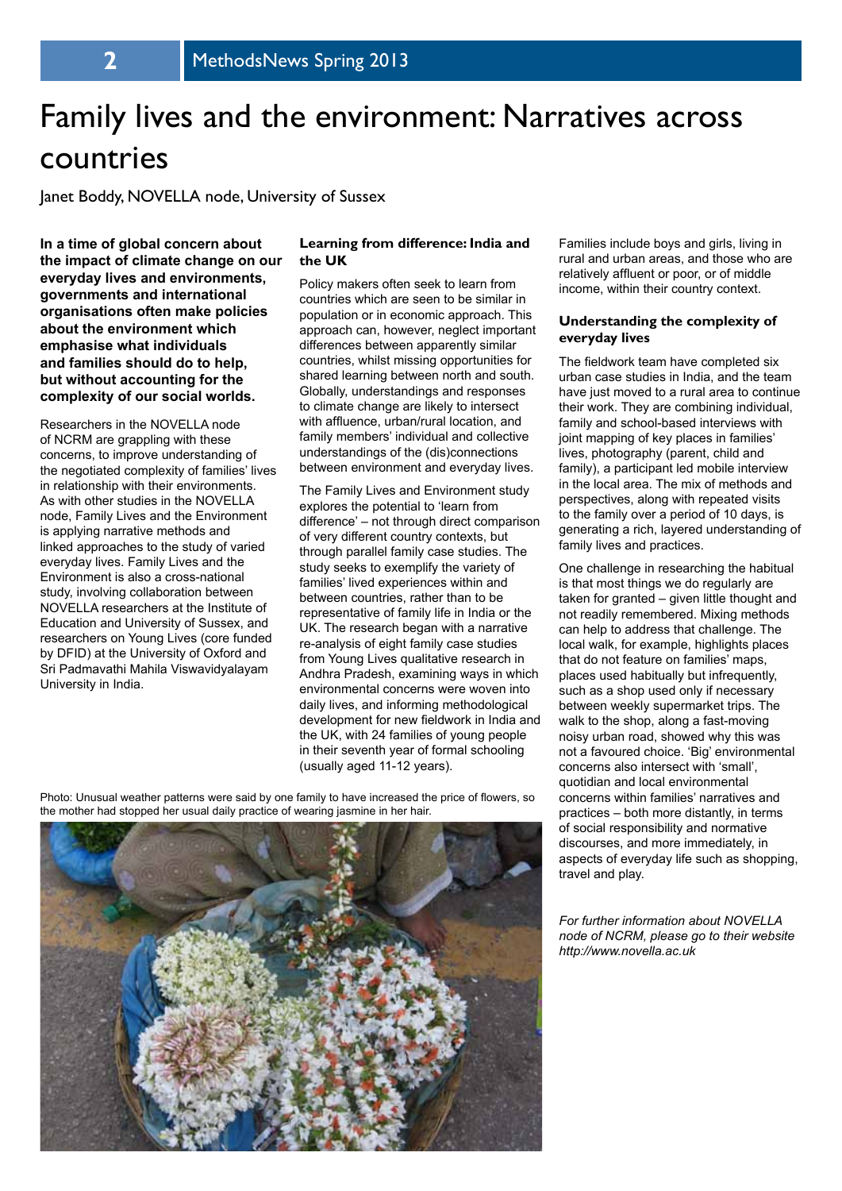# Family lives and the environment: Narratives across countries

Janet Boddy, NOVELLA node, University of Sussex

**In a time of global concern about the impact of climate change on our everyday lives and environments, governments and international organisations often make policies about the environment which emphasise what individuals and families should do to help, but without accounting for the complexity of our social worlds.** 

Researchers in the NOVELLA node of NCRM are grappling with these concerns, to improve understanding of the negotiated complexity of families' lives in relationship with their environments. As with other studies in the NOVELLA node, Family Lives and the Environment is applying narrative methods and linked approaches to the study of varied everyday lives. Family Lives and the Environment is also a cross-national study, involving collaboration between NOVELLA researchers at the Institute of Education and University of Sussex, and researchers on Young Lives (core funded by DFID) at the University of Oxford and Sri Padmavathi Mahila Viswavidyalayam University in India.

#### **Learning from difference: India and the UK**

Policy makers often seek to learn from countries which are seen to be similar in population or in economic approach. This approach can, however, neglect important differences between apparently similar countries, whilst missing opportunities for shared learning between north and south. Globally, understandings and responses to climate change are likely to intersect with affluence, urban/rural location, and family members' individual and collective understandings of the (dis)connections between environment and everyday lives.

The Family Lives and Environment study explores the potential to 'learn from difference' – not through direct comparison of very different country contexts, but through parallel family case studies. The study seeks to exemplify the variety of families' lived experiences within and between countries, rather than to be representative of family life in India or the UK. The research began with a narrative re-analysis of eight family case studies from Young Lives qualitative research in Andhra Pradesh, examining ways in which environmental concerns were woven into daily lives, and informing methodological development for new fieldwork in India and the UK, with 24 families of young people in their seventh year of formal schooling (usually aged 11-12 years).

Photo: Unusual weather patterns were said by one family to have increased the price of flowers, so the mother had stopped her usual daily practice of wearing jasmine in her hair.



Families include boys and girls, living in rural and urban areas, and those who are relatively affluent or poor, or of middle income, within their country context.

#### **Understanding the complexity of everyday lives**

The fieldwork team have completed six urban case studies in India, and the team have just moved to a rural area to continue their work. They are combining individual, family and school-based interviews with joint mapping of key places in families' lives, photography (parent, child and family), a participant led mobile interview in the local area. The mix of methods and perspectives, along with repeated visits to the family over a period of 10 days, is generating a rich, layered understanding of family lives and practices.

One challenge in researching the habitual is that most things we do regularly are taken for granted – given little thought and not readily remembered. Mixing methods can help to address that challenge. The local walk, for example, highlights places that do not feature on families' maps, places used habitually but infrequently, such as a shop used only if necessary between weekly supermarket trips. The walk to the shop, along a fast-moving noisy urban road, showed why this was not a favoured choice. 'Big' environmental concerns also intersect with 'small', quotidian and local environmental concerns within families' narratives and practices – both more distantly, in terms of social responsibility and normative discourses, and more immediately, in aspects of everyday life such as shopping, travel and play.

*For further information about NOVELLA node of NCRM, please go to their website http://www.novella.ac.uk*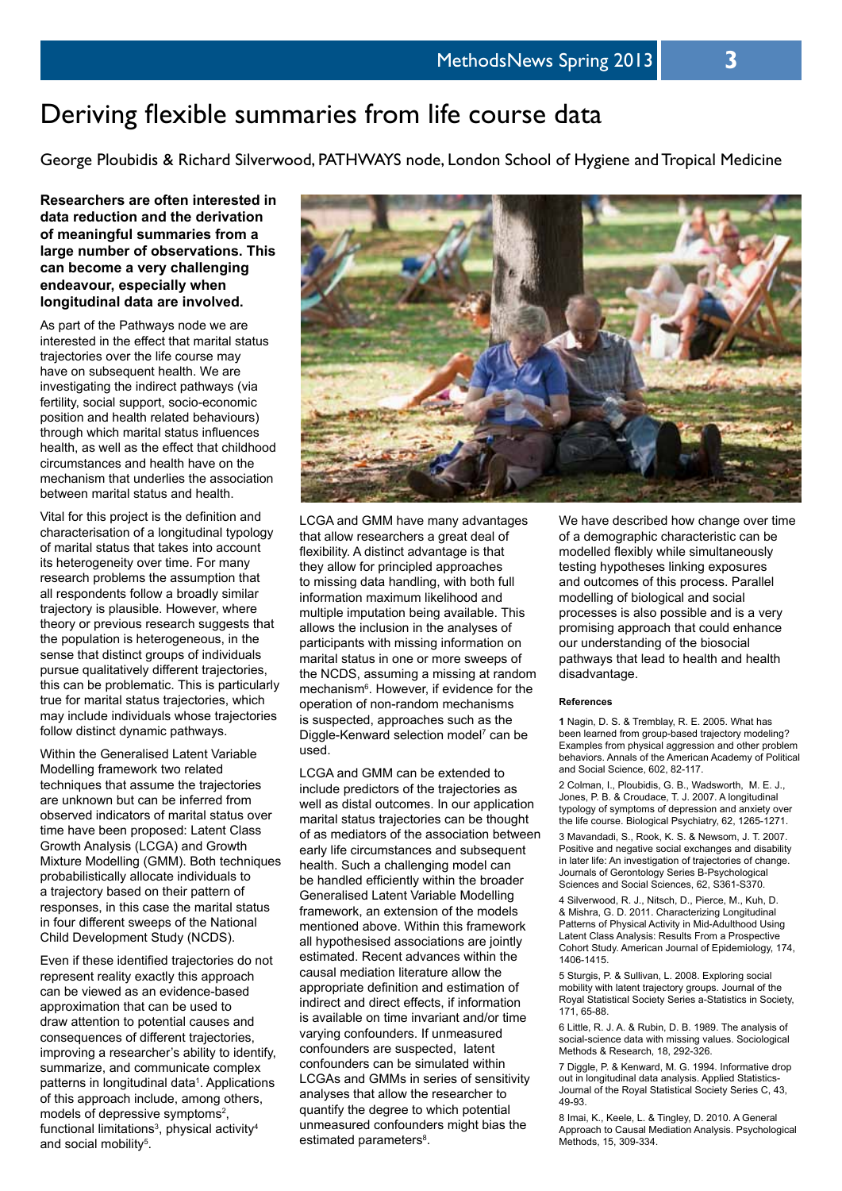## Deriving flexible summaries from life course data

George Ploubidis & Richard Silverwood, PATHWAYS node, London School of Hygiene and Tropical Medicine

**Researchers are often interested in data reduction and the derivation of meaningful summaries from a large number of observations. This can become a very challenging endeavour, especially when longitudinal data are involved.** 

As part of the Pathways node we are interested in the effect that marital status trajectories over the life course may have on subsequent health. We are investigating the indirect pathways (via fertility, social support, socio-economic position and health related behaviours) through which marital status influences health, as well as the effect that childhood circumstances and health have on the mechanism that underlies the association between marital status and health.

Vital for this project is the definition and characterisation of a longitudinal typology of marital status that takes into account its heterogeneity over time. For many research problems the assumption that all respondents follow a broadly similar trajectory is plausible. However, where theory or previous research suggests that the population is heterogeneous, in the sense that distinct groups of individuals pursue qualitatively different trajectories, this can be problematic. This is particularly true for marital status trajectories, which may include individuals whose trajectories follow distinct dynamic pathways.

Within the Generalised Latent Variable Modelling framework two related techniques that assume the trajectories are unknown but can be inferred from observed indicators of marital status over time have been proposed: Latent Class Growth Analysis (LCGA) and Growth Mixture Modelling (GMM). Both techniques probabilistically allocate individuals to a trajectory based on their pattern of responses, in this case the marital status in four different sweeps of the National Child Development Study (NCDS).

Even if these identified trajectories do not represent reality exactly this approach can be viewed as an evidence-based approximation that can be used to draw attention to potential causes and consequences of different trajectories, improving a researcher's ability to identify, summarize, and communicate complex patterns in longitudinal data<sup>1</sup>. Applications of this approach include, among others, models of depressive symptoms<sup>2</sup>, functional limitations<sup>3</sup>, physical activity<sup>4</sup> and social mobility<sup>5</sup>.



LCGA and GMM have many advantages that allow researchers a great deal of flexibility. A distinct advantage is that they allow for principled approaches to missing data handling, with both full information maximum likelihood and multiple imputation being available. This allows the inclusion in the analyses of participants with missing information on marital status in one or more sweeps of the NCDS, assuming a missing at random mechanism<sup>6</sup>. However, if evidence for the operation of non-random mechanisms is suspected, approaches such as the Diggle-Kenward selection model<sup>7</sup> can be used.

LCGA and GMM can be extended to include predictors of the trajectories as well as distal outcomes. In our application marital status trajectories can be thought of as mediators of the association between early life circumstances and subsequent health. Such a challenging model can be handled efficiently within the broader Generalised Latent Variable Modelling framework, an extension of the models mentioned above. Within this framework all hypothesised associations are jointly estimated. Recent advances within the causal mediation literature allow the appropriate definition and estimation of indirect and direct effects, if information is available on time invariant and/or time varying confounders. If unmeasured confounders are suspected, latent confounders can be simulated within LCGAs and GMMs in series of sensitivity analyses that allow the researcher to quantify the degree to which potential unmeasured confounders might bias the estimated parameters<sup>8</sup>.

We have described how change over time of a demographic characteristic can be modelled flexibly while simultaneously testing hypotheses linking exposures and outcomes of this process. Parallel modelling of biological and social processes is also possible and is a very promising approach that could enhance our understanding of the biosocial pathways that lead to health and health disadvantage.

#### **References**

**1** Nagin, D. S. & Tremblay, R. E. 2005. What has been learned from group-based trajectory modeling? Examples from physical aggression and other problem behaviors. Annals of the American Academy of Political and Social Science, 602, 82-117.

2 Colman, I., Ploubidis, G. B., Wadsworth, M. E. J., Jones, P. B. & Croudace, T. J. 2007. A longitudinal typology of symptoms of depression and anxiety over the life course. Biological Psychiatry, 62, 1265-1271.

3 Mavandadi, S., Rook, K. S. & Newsom, J. T. 2007. Positive and negative social exchanges and disability in later life: An investigation of trajectories of change. Journals of Gerontology Series B-Psychological Sciences and Social Sciences, 62, S361-S370.

4 Silverwood, R. J., Nitsch, D., Pierce, M., Kuh, D. & Mishra, G. D. 2011. Characterizing Longitudinal Patterns of Physical Activity in Mid-Adulthood Using Latent Class Analysis: Results From a Prospective Cohort Study. American Journal of Epidemiology, 174, 1406-1415.

5 Sturgis, P. & Sullivan, L. 2008. Exploring social mobility with latent trajectory groups. Journal of the Royal Statistical Society Series a-Statistics in Society, 171, 65-88.

6 Little, R. J. A. & Rubin, D. B. 1989. The analysis of social-science data with missing values. Sociological Methods & Research, 18, 292-326.

7 Diggle, P. & Kenward, M. G. 1994. Informative drop out in longitudinal data analysis. Applied Statistics-Journal of the Royal Statistical Society Series C, 43, 49-93.

8 Imai, K., Keele, L. & Tingley, D. 2010. A General Approach to Causal Mediation Analysis. Psychological Methods, 15, 309-334.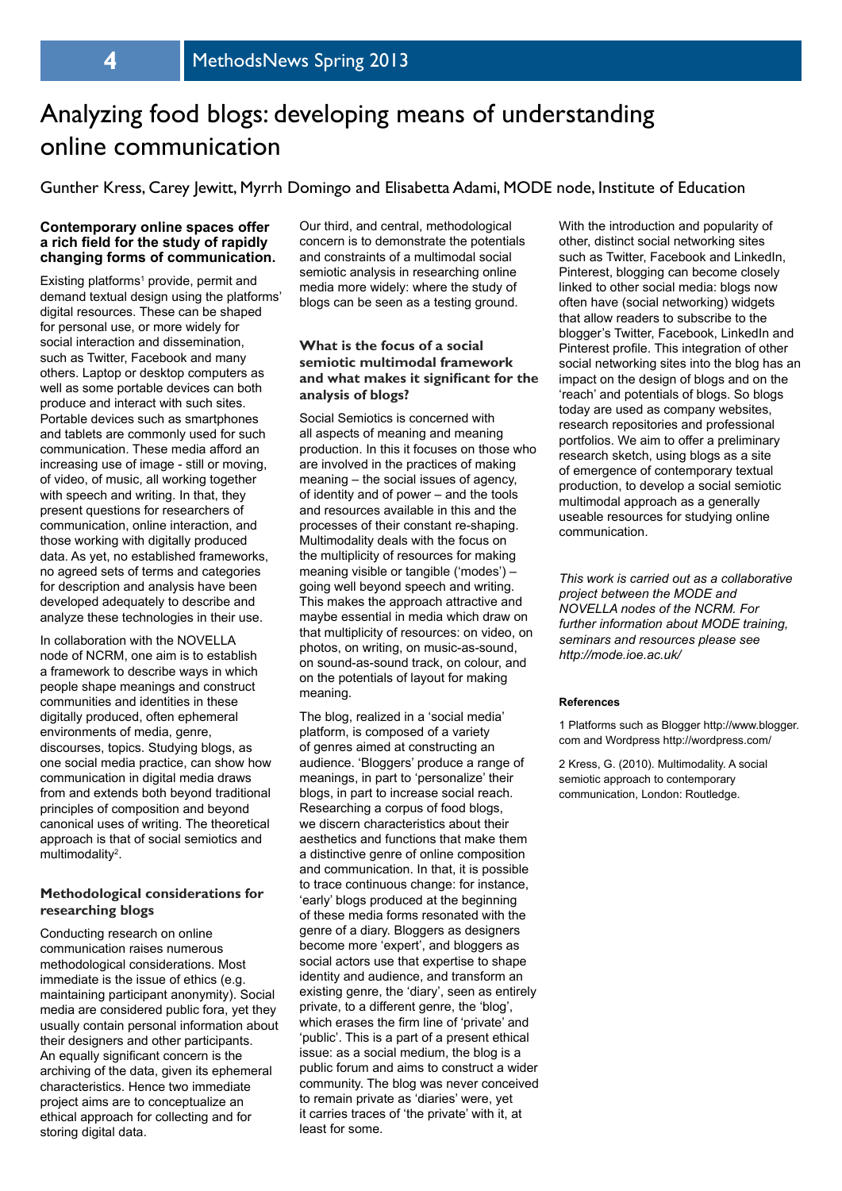## Analyzing food blogs: developing means of understanding online communication

Gunther Kress, Carey Jewitt, Myrrh Domingo and Elisabetta Adami, MODE node, Institute of Education

#### **Contemporary online spaces offer a rich field for the study of rapidly changing forms of communication.**

Existing platforms<sup>1</sup> provide, permit and demand textual design using the platforms' digital resources. These can be shaped for personal use, or more widely for social interaction and dissemination, such as Twitter, Facebook and many others. Laptop or desktop computers as well as some portable devices can both produce and interact with such sites. Portable devices such as smartphones and tablets are commonly used for such communication. These media afford an increasing use of image - still or moving, of video, of music, all working together with speech and writing. In that, they present questions for researchers of communication, online interaction, and those working with digitally produced data. As yet, no established frameworks, no agreed sets of terms and categories for description and analysis have been developed adequately to describe and analyze these technologies in their use.

In collaboration with the NOVELLA node of NCRM, one aim is to establish a framework to describe ways in which people shape meanings and construct communities and identities in these digitally produced, often ephemeral environments of media, genre, discourses, topics. Studying blogs, as one social media practice, can show how communication in digital media draws from and extends both beyond traditional principles of composition and beyond canonical uses of writing. The theoretical approach is that of social semiotics and multimodality<sup>2</sup>.

#### **Methodological considerations for researching blogs**

Conducting research on online communication raises numerous methodological considerations. Most immediate is the issue of ethics (e.g. maintaining participant anonymity). Social media are considered public fora, yet they usually contain personal information about their designers and other participants. An equally significant concern is the archiving of the data, given its ephemeral characteristics. Hence two immediate project aims are to conceptualize an ethical approach for collecting and for storing digital data.

Our third, and central, methodological concern is to demonstrate the potentials and constraints of a multimodal social semiotic analysis in researching online media more widely: where the study of blogs can be seen as a testing ground.

#### **What is the focus of a social semiotic multimodal framework and what makes it significant for the analysis of blogs?**

Social Semiotics is concerned with all aspects of meaning and meaning production. In this it focuses on those who are involved in the practices of making meaning – the social issues of agency, of identity and of power – and the tools and resources available in this and the processes of their constant re-shaping. Multimodality deals with the focus on the multiplicity of resources for making meaning visible or tangible ('modes') – going well beyond speech and writing. This makes the approach attractive and maybe essential in media which draw on that multiplicity of resources: on video, on photos, on writing, on music-as-sound, on sound-as-sound track, on colour, and on the potentials of layout for making meaning.

The blog, realized in a 'social media' platform, is composed of a variety of genres aimed at constructing an audience. 'Bloggers' produce a range of meanings, in part to 'personalize' their blogs, in part to increase social reach. Researching a corpus of food blogs, we discern characteristics about their aesthetics and functions that make them a distinctive genre of online composition and communication. In that, it is possible to trace continuous change: for instance, 'early' blogs produced at the beginning of these media forms resonated with the genre of a diary. Bloggers as designers become more 'expert', and bloggers as social actors use that expertise to shape identity and audience, and transform an existing genre, the 'diary', seen as entirely private, to a different genre, the 'blog', which erases the firm line of 'private' and 'public'. This is a part of a present ethical issue: as a social medium, the blog is a public forum and aims to construct a wider community. The blog was never conceived to remain private as 'diaries' were, yet it carries traces of 'the private' with it, at least for some.

With the introduction and popularity of other, distinct social networking sites such as Twitter, Facebook and LinkedIn. Pinterest, blogging can become closely linked to other social media: blogs now often have (social networking) widgets that allow readers to subscribe to the blogger's Twitter, Facebook, LinkedIn and Pinterest profile. This integration of other social networking sites into the blog has an impact on the design of blogs and on the 'reach' and potentials of blogs. So blogs today are used as company websites, research repositories and professional portfolios. We aim to offer a preliminary research sketch, using blogs as a site of emergence of contemporary textual production, to develop a social semiotic multimodal approach as a generally useable resources for studying online communication.

*This work is carried out as a collaborative project between the MODE and NOVELLA nodes of the NCRM. For further information about MODE training, seminars and resources please see http://mode.ioe.ac.uk/*

#### **References**

1 Platforms such as Blogger http://www.blogger. com and Wordpress http://wordpress.com/

2 Kress, G. (2010). Multimodality. A social semiotic approach to contemporary communication, London: Routledge.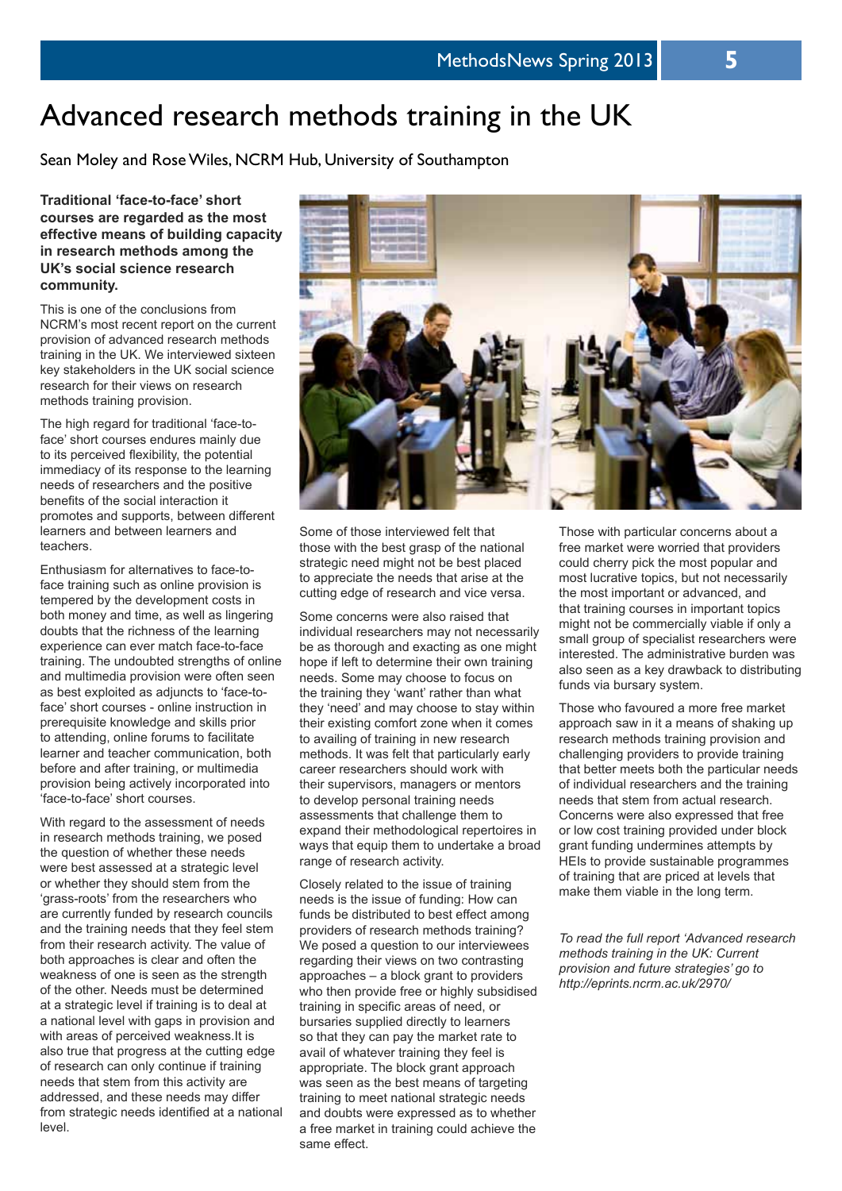## Advanced research methods training in the UK

Sean Moley and Rose Wiles, NCRM Hub, University of Southampton

**Traditional 'face-to-face' short courses are regarded as the most effective means of building capacity in research methods among the UK's social science research community.** 

This is one of the conclusions from NCRM's most recent report on the current provision of advanced research methods training in the UK. We interviewed sixteen key stakeholders in the UK social science research for their views on research methods training provision.

The high regard for traditional 'face-toface' short courses endures mainly due to its perceived flexibility, the potential immediacy of its response to the learning needs of researchers and the positive benefits of the social interaction it promotes and supports, between different learners and between learners and teachers.

Enthusiasm for alternatives to face-toface training such as online provision is tempered by the development costs in both money and time, as well as lingering doubts that the richness of the learning experience can ever match face-to-face training. The undoubted strengths of online and multimedia provision were often seen as best exploited as adjuncts to 'face-toface' short courses - online instruction in prerequisite knowledge and skills prior to attending, online forums to facilitate learner and teacher communication, both before and after training, or multimedia provision being actively incorporated into 'face-to-face' short courses.

With regard to the assessment of needs in research methods training, we posed the question of whether these needs were best assessed at a strategic level or whether they should stem from the 'grass-roots' from the researchers who are currently funded by research councils and the training needs that they feel stem from their research activity. The value of both approaches is clear and often the weakness of one is seen as the strength of the other. Needs must be determined at a strategic level if training is to deal at a national level with gaps in provision and with areas of perceived weakness.It is also true that progress at the cutting edge of research can only continue if training needs that stem from this activity are addressed, and these needs may differ from strategic needs identified at a national level.



Some of those interviewed felt that those with the best grasp of the national strategic need might not be best placed to appreciate the needs that arise at the cutting edge of research and vice versa.

Some concerns were also raised that individual researchers may not necessarily be as thorough and exacting as one might hope if left to determine their own training needs. Some may choose to focus on the training they 'want' rather than what they 'need' and may choose to stay within their existing comfort zone when it comes to availing of training in new research methods. It was felt that particularly early career researchers should work with their supervisors, managers or mentors to develop personal training needs assessments that challenge them to expand their methodological repertoires in ways that equip them to undertake a broad range of research activity.

Closely related to the issue of training needs is the issue of funding: How can funds be distributed to best effect among providers of research methods training? We posed a question to our interviewees regarding their views on two contrasting approaches – a block grant to providers who then provide free or highly subsidised training in specific areas of need, or bursaries supplied directly to learners so that they can pay the market rate to avail of whatever training they feel is appropriate. The block grant approach was seen as the best means of targeting training to meet national strategic needs and doubts were expressed as to whether a free market in training could achieve the same effect.

Those with particular concerns about a free market were worried that providers could cherry pick the most popular and most lucrative topics, but not necessarily the most important or advanced, and that training courses in important topics might not be commercially viable if only a small group of specialist researchers were interested. The administrative burden was also seen as a key drawback to distributing funds via bursary system.

Those who favoured a more free market approach saw in it a means of shaking up research methods training provision and challenging providers to provide training that better meets both the particular needs of individual researchers and the training needs that stem from actual research. Concerns were also expressed that free or low cost training provided under block grant funding undermines attempts by HEIs to provide sustainable programmes of training that are priced at levels that make them viable in the long term.

*To read the full report 'Advanced research methods training in the UK: Current provision and future strategies' go to http://eprints.ncrm.ac.uk/2970/*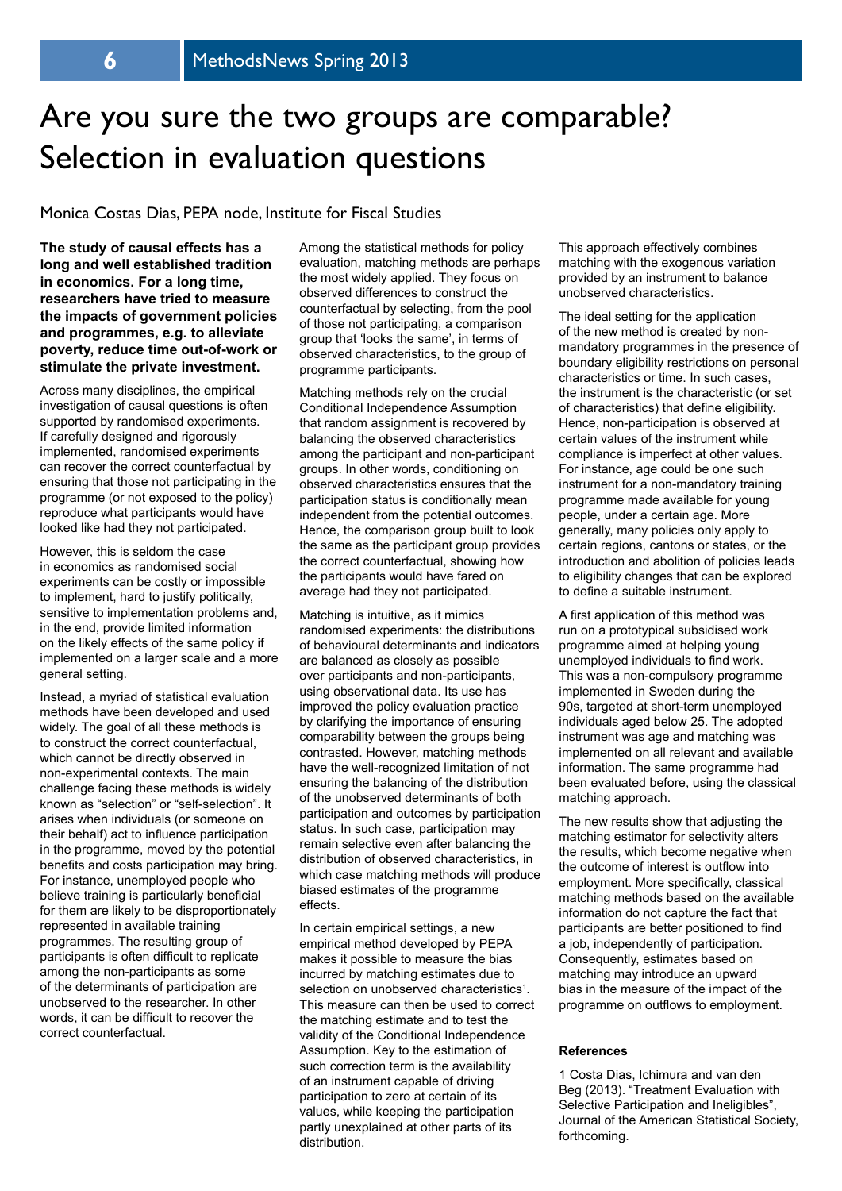# Are you sure the two groups are comparable? Selection in evaluation questions

#### Monica Costas Dias, PEPA node, Institute for Fiscal Studies

**The study of causal effects has a long and well established tradition in economics. For a long time, researchers have tried to measure the impacts of government policies and programmes, e.g. to alleviate poverty, reduce time out-of-work or stimulate the private investment.** 

Across many disciplines, the empirical investigation of causal questions is often supported by randomised experiments. If carefully designed and rigorously implemented, randomised experiments can recover the correct counterfactual by ensuring that those not participating in the programme (or not exposed to the policy) reproduce what participants would have looked like had they not participated.

However, this is seldom the case in economics as randomised social experiments can be costly or impossible to implement, hard to justify politically, sensitive to implementation problems and, in the end, provide limited information on the likely effects of the same policy if implemented on a larger scale and a more general setting.

Instead, a myriad of statistical evaluation methods have been developed and used widely. The goal of all these methods is to construct the correct counterfactual, which cannot be directly observed in non-experimental contexts. The main challenge facing these methods is widely known as "selection" or "self-selection". It arises when individuals (or someone on their behalf) act to influence participation in the programme, moved by the potential benefits and costs participation may bring. For instance, unemployed people who believe training is particularly beneficial for them are likely to be disproportionately represented in available training programmes. The resulting group of participants is often difficult to replicate among the non-participants as some of the determinants of participation are unobserved to the researcher. In other words, it can be difficult to recover the correct counterfactual.

Among the statistical methods for policy evaluation, matching methods are perhaps the most widely applied. They focus on observed differences to construct the counterfactual by selecting, from the pool of those not participating, a comparison group that 'looks the same', in terms of observed characteristics, to the group of programme participants.

Matching methods rely on the crucial Conditional Independence Assumption that random assignment is recovered by balancing the observed characteristics among the participant and non-participant groups. In other words, conditioning on observed characteristics ensures that the participation status is conditionally mean independent from the potential outcomes. Hence, the comparison group built to look the same as the participant group provides the correct counterfactual, showing how the participants would have fared on average had they not participated.

Matching is intuitive, as it mimics randomised experiments: the distributions of behavioural determinants and indicators are balanced as closely as possible over participants and non-participants, using observational data. Its use has improved the policy evaluation practice by clarifying the importance of ensuring comparability between the groups being contrasted. However, matching methods have the well-recognized limitation of not ensuring the balancing of the distribution of the unobserved determinants of both participation and outcomes by participation status. In such case, participation may remain selective even after balancing the distribution of observed characteristics, in which case matching methods will produce biased estimates of the programme effects.

In certain empirical settings, a new empirical method developed by PEPA makes it possible to measure the bias incurred by matching estimates due to selection on unobserved characteristics<sup>1</sup>. This measure can then be used to correct the matching estimate and to test the validity of the Conditional Independence Assumption. Key to the estimation of such correction term is the availability of an instrument capable of driving participation to zero at certain of its values, while keeping the participation partly unexplained at other parts of its distribution.

This approach effectively combines matching with the exogenous variation provided by an instrument to balance unobserved characteristics.

The ideal setting for the application of the new method is created by nonmandatory programmes in the presence of boundary eligibility restrictions on personal characteristics or time. In such cases, the instrument is the characteristic (or set of characteristics) that define eligibility. Hence, non-participation is observed at certain values of the instrument while compliance is imperfect at other values. For instance, age could be one such instrument for a non-mandatory training programme made available for young people, under a certain age. More generally, many policies only apply to certain regions, cantons or states, or the introduction and abolition of policies leads to eligibility changes that can be explored to define a suitable instrument.

A first application of this method was run on a prototypical subsidised work programme aimed at helping young unemployed individuals to find work. This was a non-compulsory programme implemented in Sweden during the 90s, targeted at short-term unemployed individuals aged below 25. The adopted instrument was age and matching was implemented on all relevant and available information. The same programme had been evaluated before, using the classical matching approach.

The new results show that adjusting the matching estimator for selectivity alters the results, which become negative when the outcome of interest is outflow into employment. More specifically, classical matching methods based on the available information do not capture the fact that participants are better positioned to find a job, independently of participation. Consequently, estimates based on matching may introduce an upward bias in the measure of the impact of the programme on outflows to employment.

#### **References**

1 Costa Dias, Ichimura and van den Beg (2013). "Treatment Evaluation with Selective Participation and Ineligibles", Journal of the American Statistical Society, forthcoming.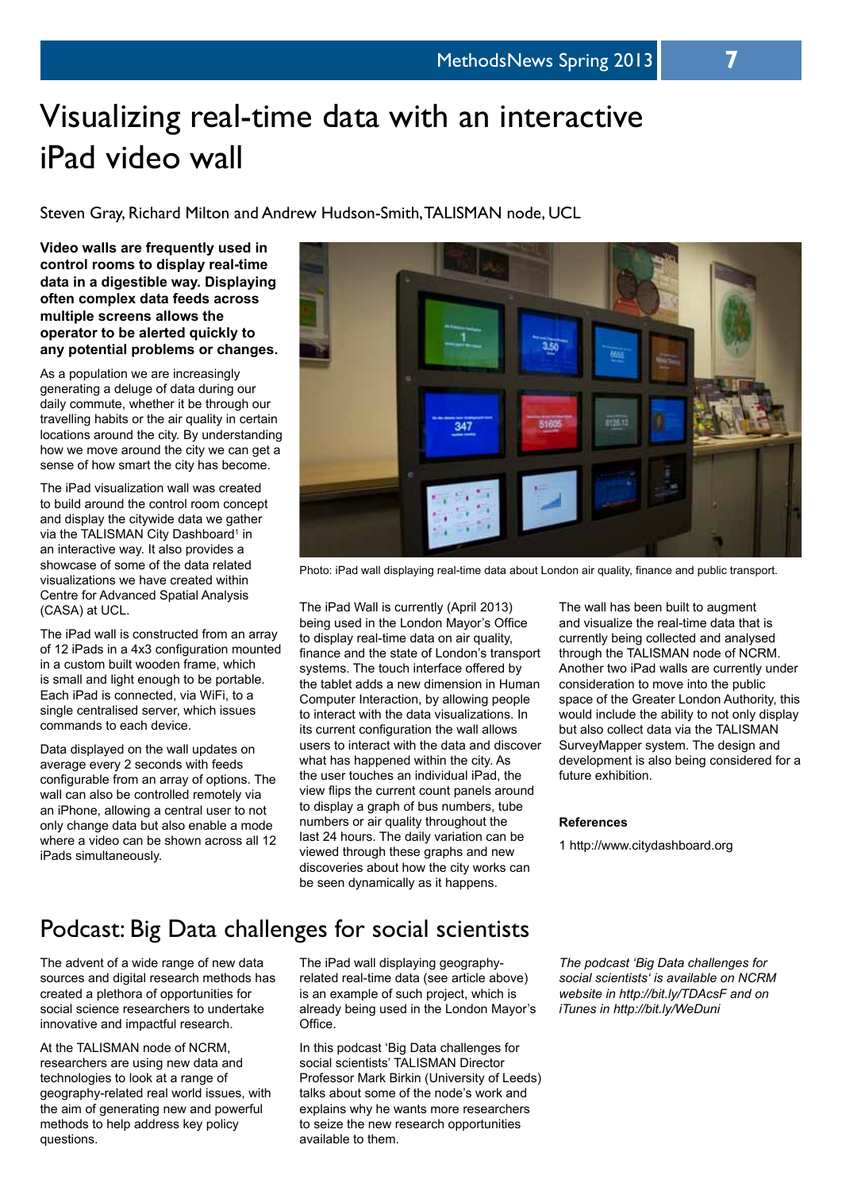# Visualizing real-time data with an interactive iPad video wall

Steven Gray, Richard Milton and Andrew Hudson-Smith, TALISMAN node, UCL

**Video walls are frequently used in control rooms to display real-time data in a digestible way. Displaying often complex data feeds across multiple screens allows the operator to be alerted quickly to any potential problems or changes.**

As a population we are increasingly generating a deluge of data during our daily commute, whether it be through our travelling habits or the air quality in certain locations around the city. By understanding how we move around the city we can get a sense of how smart the city has become.

The iPad visualization wall was created to build around the control room concept and display the citywide data we gather via the TALISMAN City Dashboard<sup>1</sup> in an interactive way. It also provides a showcase of some of the data related visualizations we have created within Centre for Advanced Spatial Analysis (CASA) at UCL.

The iPad wall is constructed from an array of 12 iPads in a 4x3 configuration mounted in a custom built wooden frame, which is small and light enough to be portable. Each iPad is connected, via WiFi, to a single centralised server, which issues commands to each device.

Data displayed on the wall updates on average every 2 seconds with feeds configurable from an array of options. The wall can also be controlled remotely via an iPhone, allowing a central user to not only change data but also enable a mode where a video can be shown across all 12 iPads simultaneously.



Photo: iPad wall displaying real-time data about London air quality, finance and public transport.

The iPad Wall is currently (April 2013) being used in the London Mayor's Office to display real-time data on air quality, finance and the state of London's transport systems. The touch interface offered by the tablet adds a new dimension in Human Computer Interaction, by allowing people to interact with the data visualizations. In its current configuration the wall allows users to interact with the data and discover what has happened within the city. As the user touches an individual iPad, the view flips the current count panels around to display a graph of bus numbers, tube numbers or air quality throughout the last 24 hours. The daily variation can be viewed through these graphs and new discoveries about how the city works can be seen dynamically as it happens.

The wall has been built to augment and visualize the real-time data that is currently being collected and analysed through the TALISMAN node of NCRM. Another two iPad walls are currently under consideration to move into the public space of the Greater London Authority, this would include the ability to not only display but also collect data via the TALISMAN SurveyMapper system. The design and development is also being considered for a future exhibition.

#### **References**

1 http://www.citydashboard.org

## Podcast: Big Data challenges for social scientists

The advent of a wide range of new data sources and digital research methods has created a plethora of opportunities for social science researchers to undertake innovative and impactful research.

At the TALISMAN node of NCRM, researchers are using new data and technologies to look at a range of geography-related real world issues, with the aim of generating new and powerful methods to help address key policy questions.

The iPad wall displaying geographyrelated real-time data (see article above) is an example of such project, which is already being used in the London Mayor's Office.

In this podcast 'Big Data challenges for social scientists' TALISMAN Director Professor Mark Birkin (University of Leeds) talks about some of the node's work and explains why he wants more researchers to seize the new research opportunities available to them.

*The podcast 'Big Data challenges for social scientists' is available on NCRM website in http://bit.ly/TDAcsF and on iTunes in http://bit.ly/WeDuni*